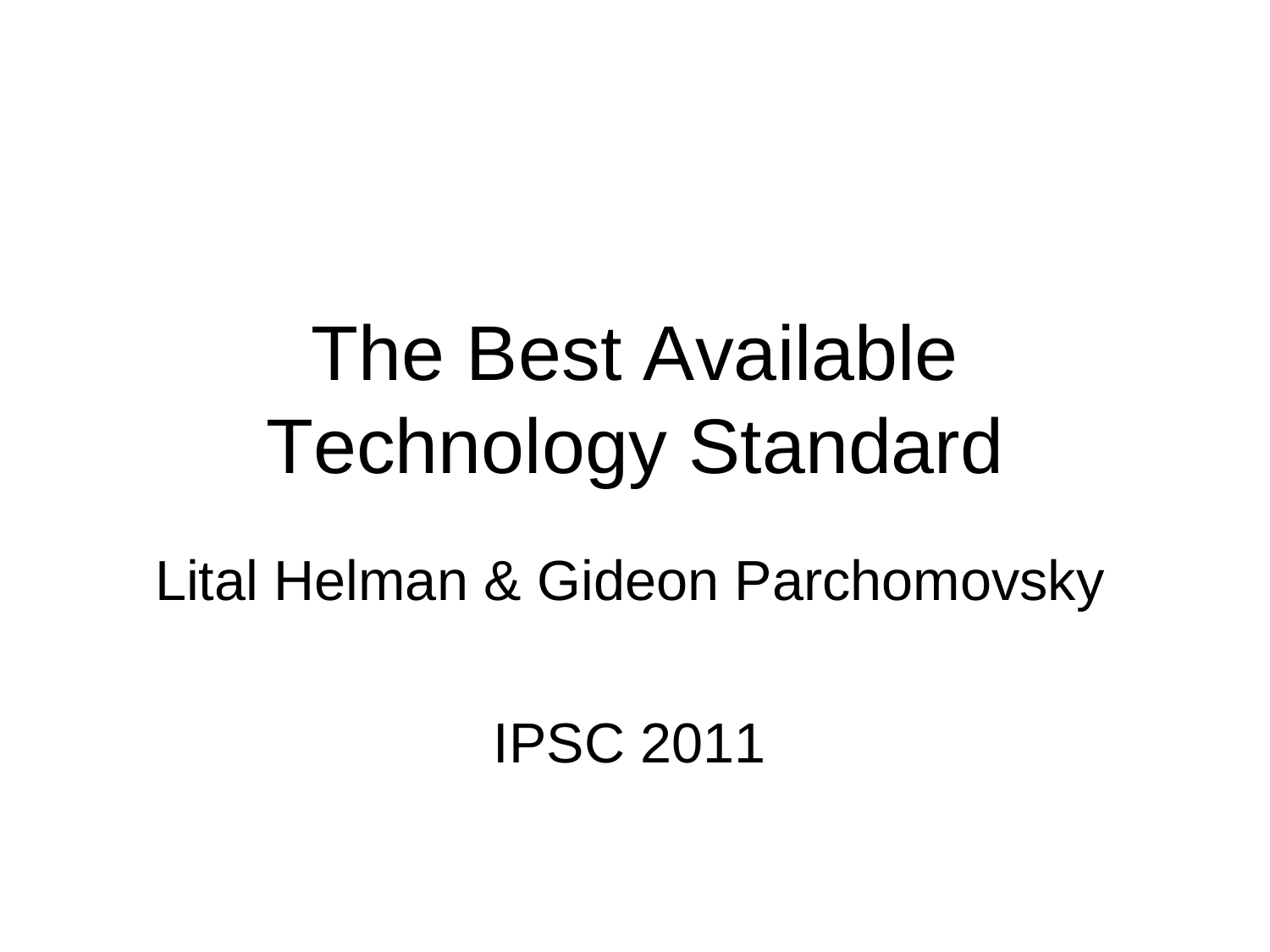### The Best Available Technology Standard

Lital Helman & Gideon Parchomovsky

IPSC 2011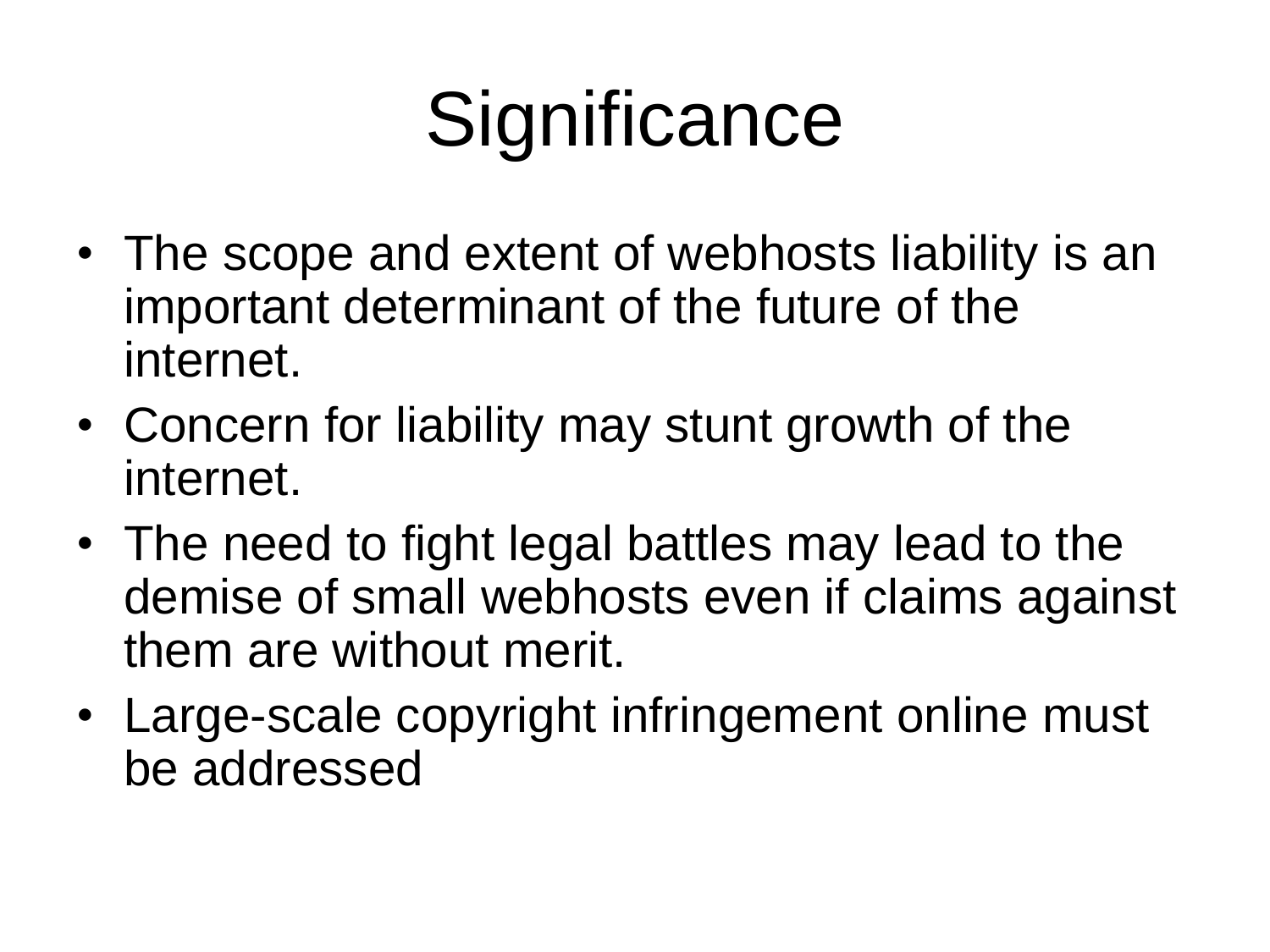# **Significance**

- The scope and extent of webhosts liability is an important determinant of the future of the internet.
- Concern for liability may stunt growth of the internet.
- The need to fight legal battles may lead to the demise of small webhosts even if claims against them are without merit.
- Large-scale copyright infringement online must be addressed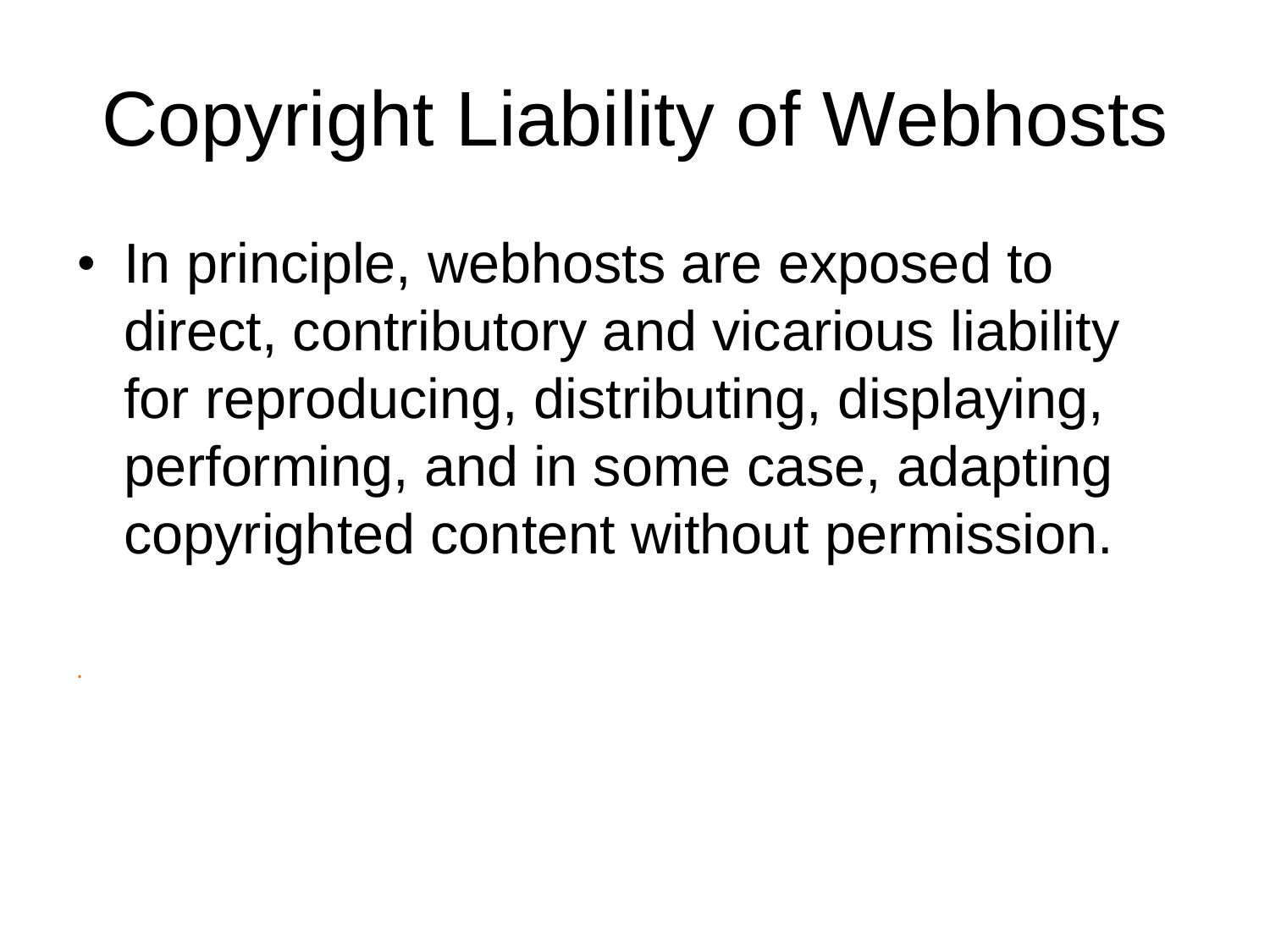# Copyright Liability of Webhosts

• In principle, webhosts are exposed to direct, contributory and vicarious liability for reproducing, distributing, displaying, performing, and in some case, adapting copyrighted content without permission.

.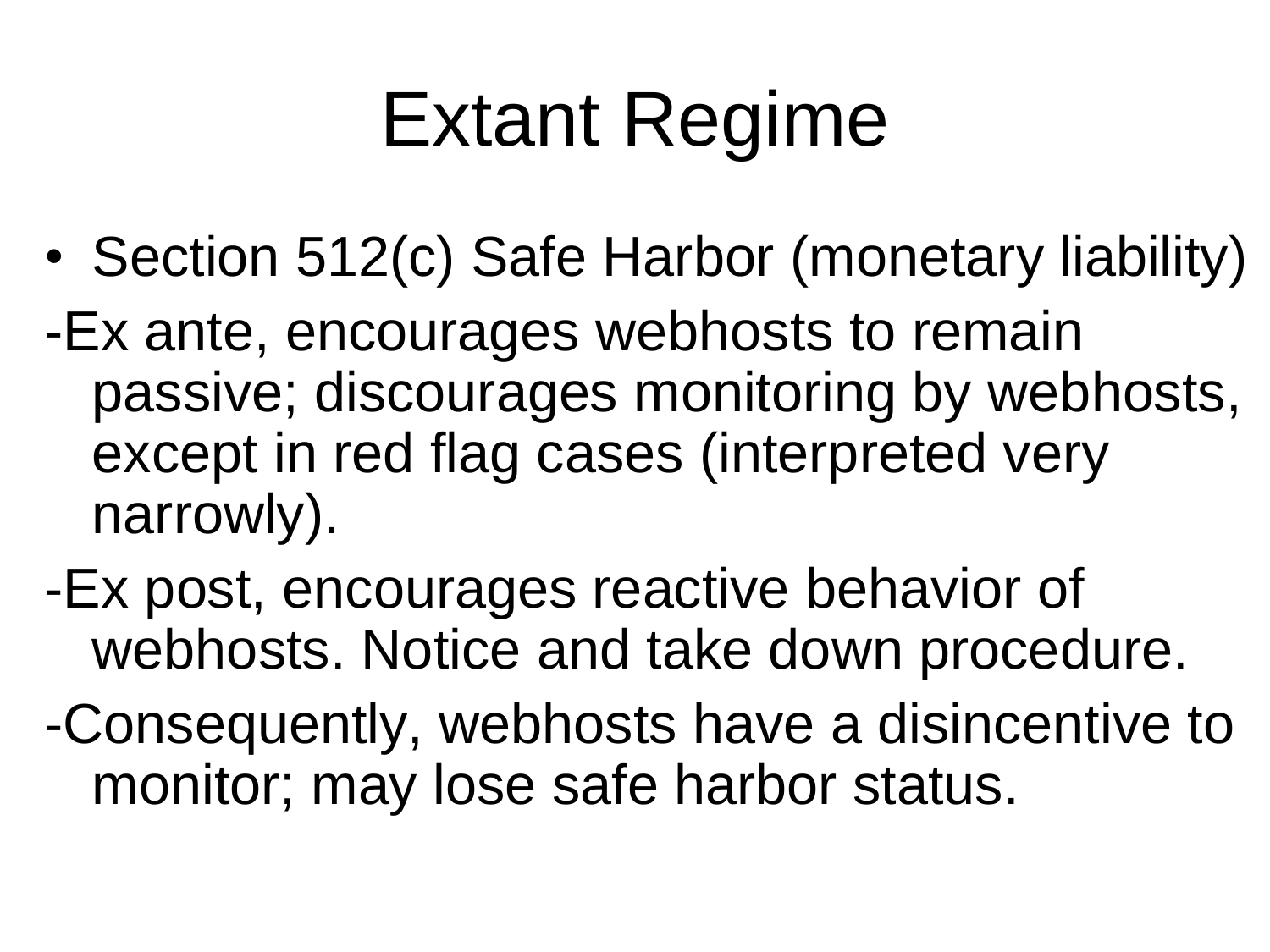## Extant Regime

- Section 512(c) Safe Harbor (monetary liability)
- -Ex ante, encourages webhosts to remain passive; discourages monitoring by webhosts, except in red flag cases (interpreted very narrowly).
- -Ex post, encourages reactive behavior of webhosts. Notice and take down procedure.
- -Consequently, webhosts have a disincentive to monitor; may lose safe harbor status.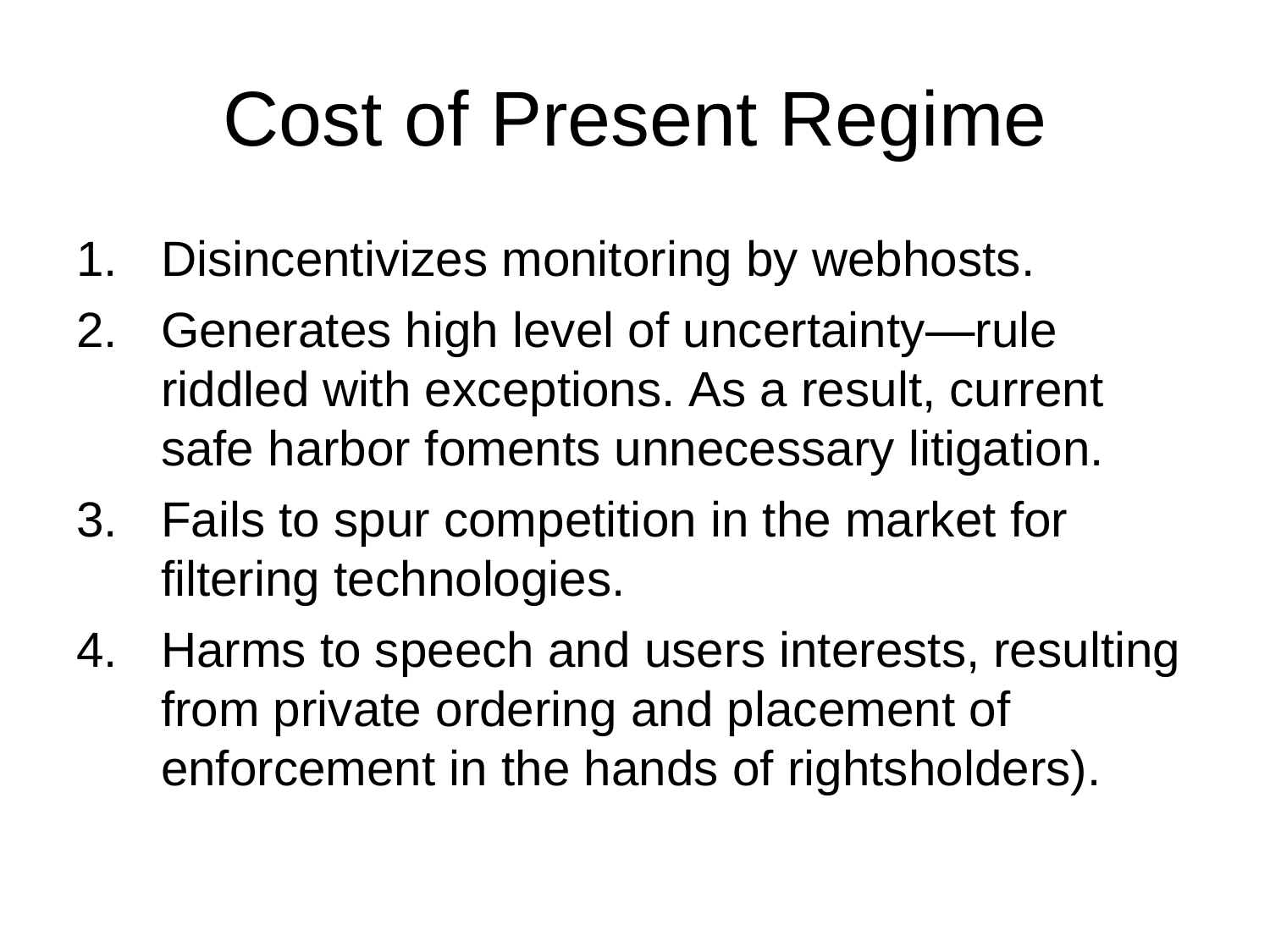# Cost of Present Regime

- 1. Disincentivizes monitoring by webhosts.
- 2. Generates high level of uncertainty—rule riddled with exceptions. As a result, current safe harbor foments unnecessary litigation.
- 3. Fails to spur competition in the market for filtering technologies.
- 4. Harms to speech and users interests, resulting from private ordering and placement of enforcement in the hands of rightsholders).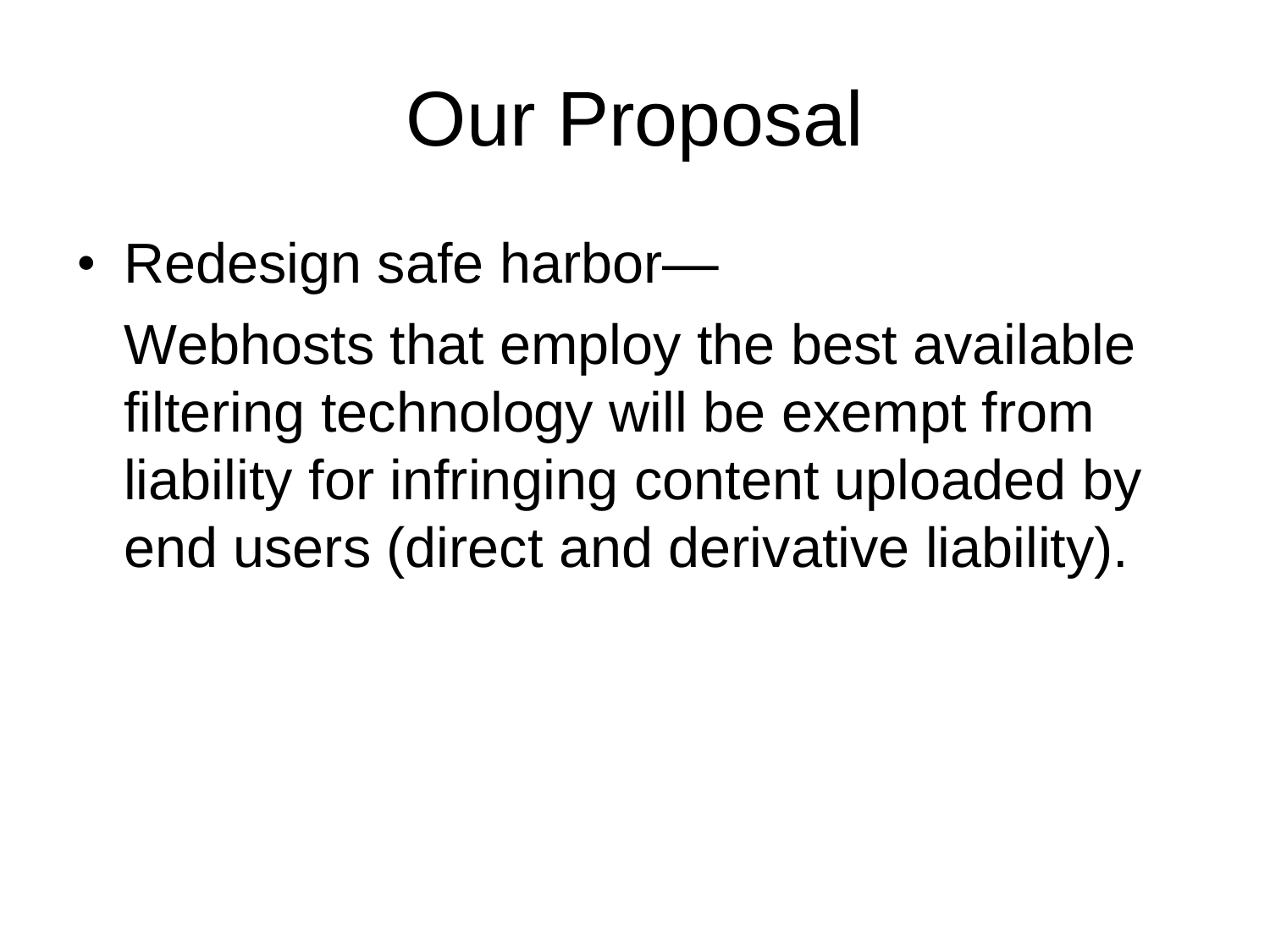### Our Proposal

• Redesign safe harbor—

Webhosts that employ the best available filtering technology will be exempt from liability for infringing content uploaded by end users (direct and derivative liability).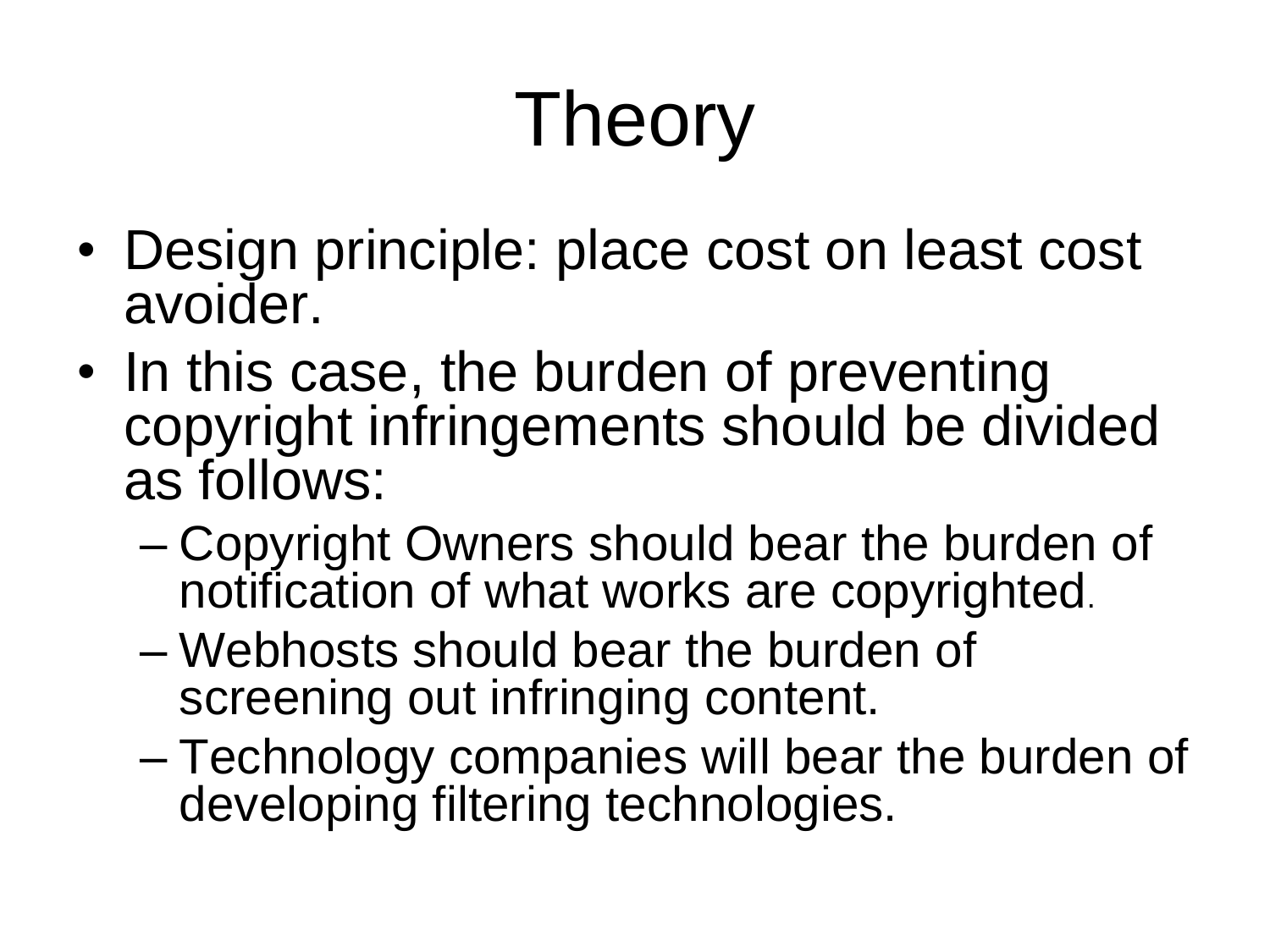# Theory

- Design principle: place cost on least cost avoider.
- In this case, the burden of preventing copyright infringements should be divided as follows:
	- Copyright Owners should bear the burden of notification of what works are copyrighted.
	- Webhosts should bear the burden of screening out infringing content.
	- Technology companies will bear the burden of developing filtering technologies.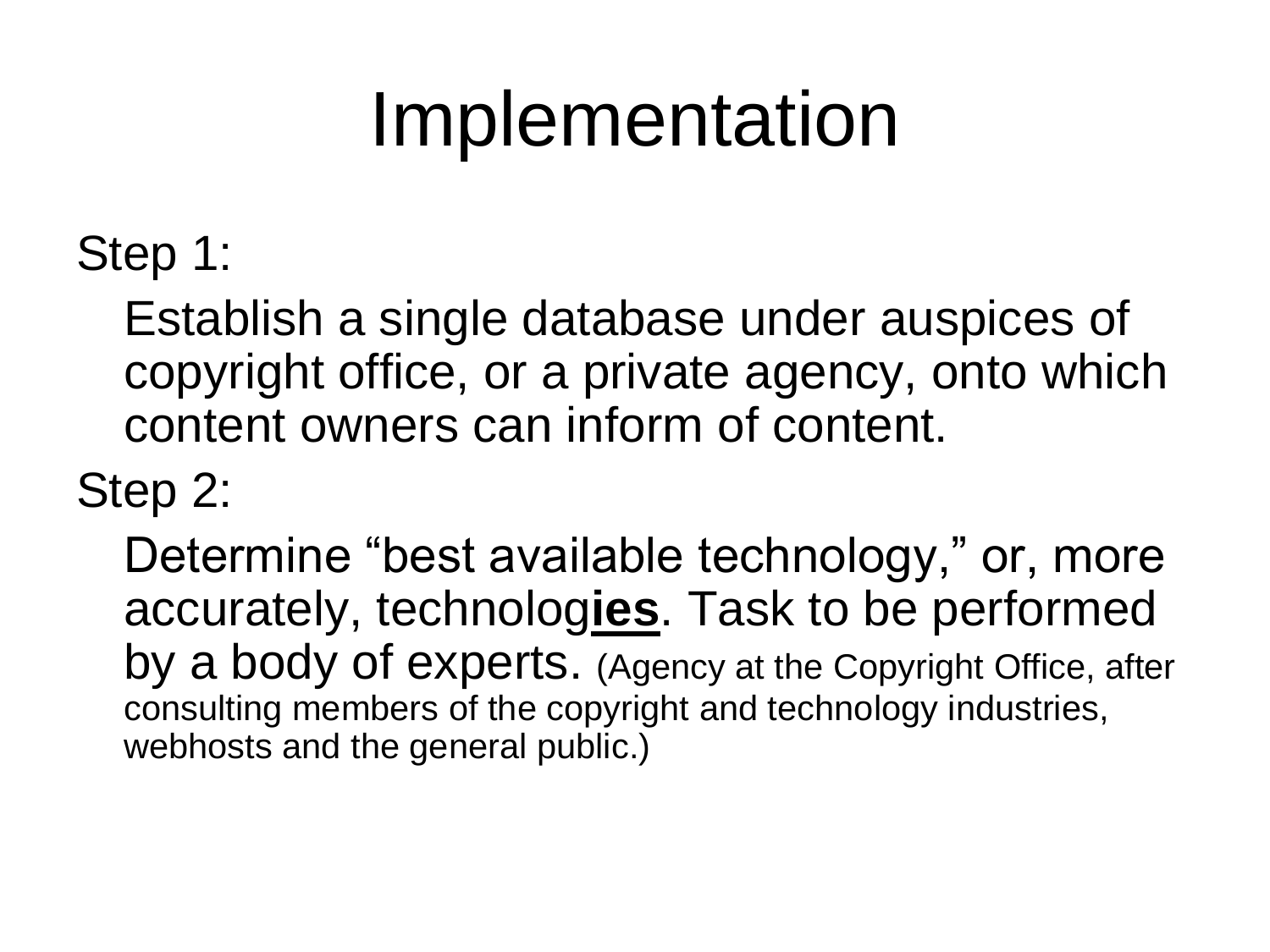### Implementation

Step 1:

Establish a single database under auspices of copyright office, or a private agency, onto which content owners can inform of content.

Step 2:

Determine "best available technology," or, more accurately, technolog**ies**. Task to be performed by a body of experts. (Agency at the Copyright Office, after consulting members of the copyright and technology industries, webhosts and the general public.)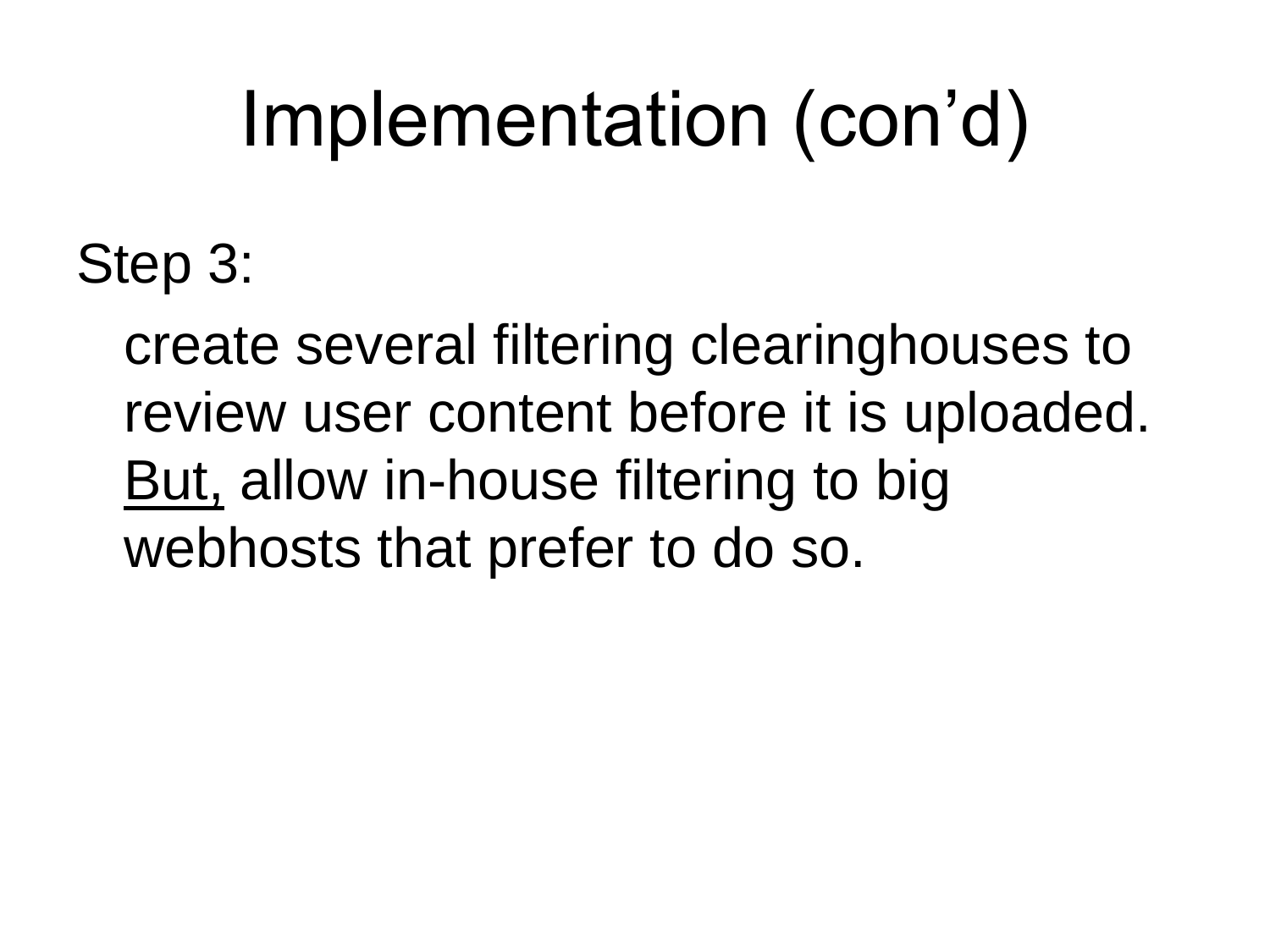### Implementation (con'd)

Step 3:

create several filtering clearinghouses to review user content before it is uploaded. But, allow in-house filtering to big webhosts that prefer to do so.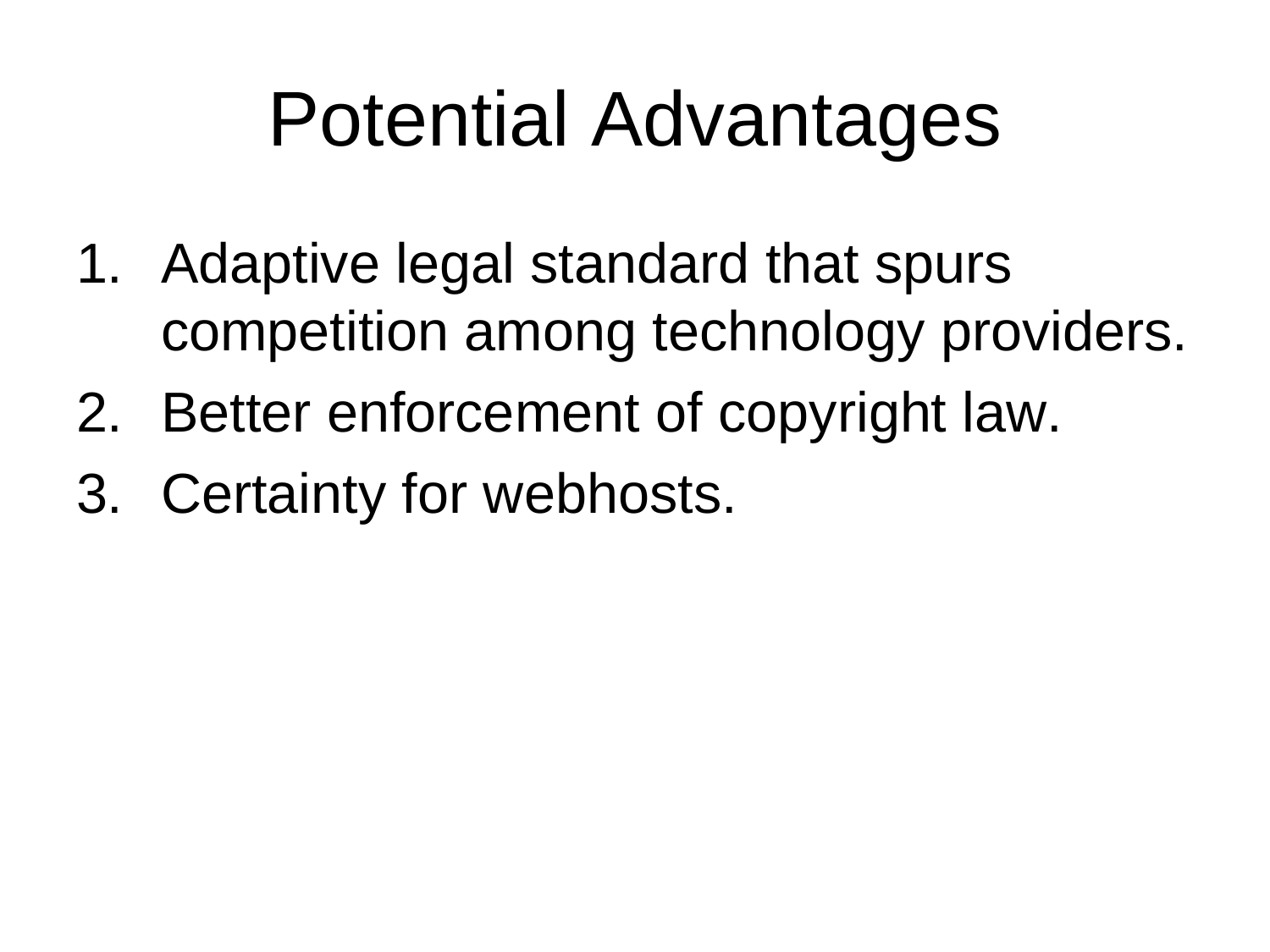### Potential Advantages

- 1. Adaptive legal standard that spurs competition among technology providers.
- 2. Better enforcement of copyright law.
- 3. Certainty for webhosts.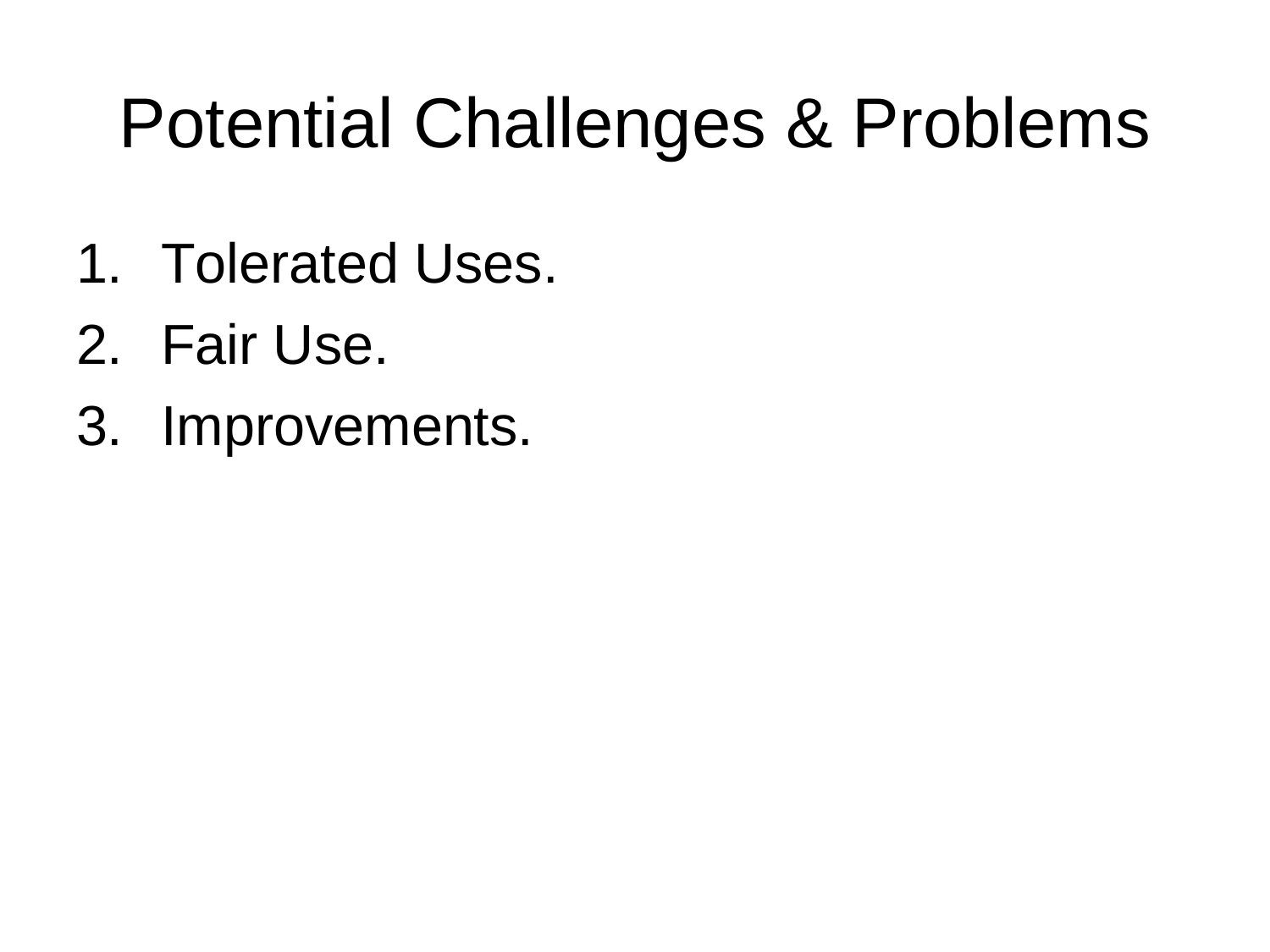#### Potential Challenges & Problems

- 1. Tolerated Uses.
- 2. Fair Use.
- 3. Improvements.